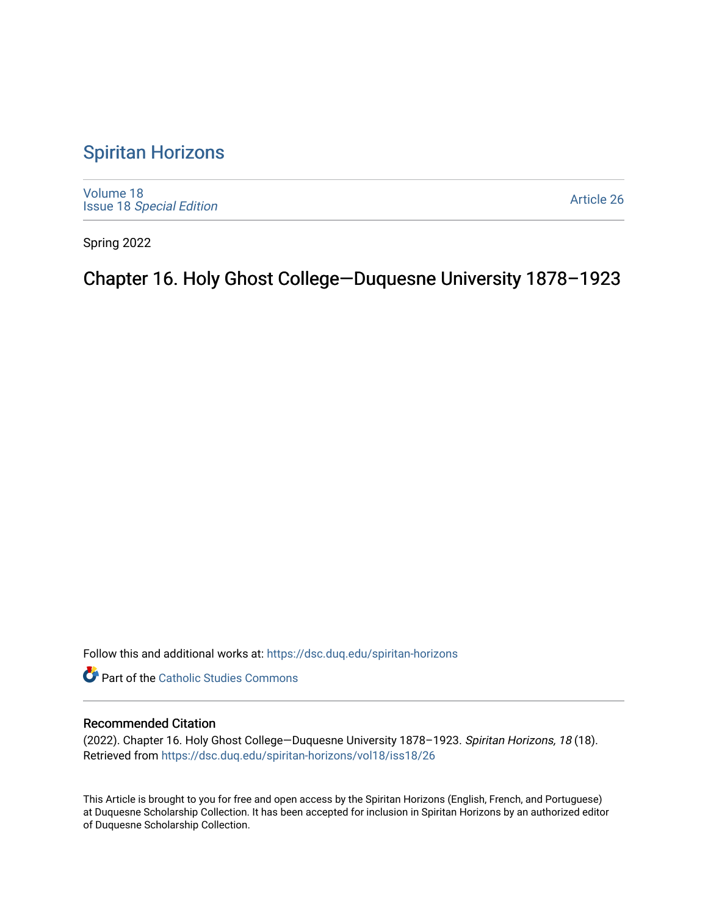### [Spiritan Horizons](https://dsc.duq.edu/spiritan-horizons)

[Volume 18](https://dsc.duq.edu/spiritan-horizons/vol18) Issue 18 [Special Edition](https://dsc.duq.edu/spiritan-horizons/vol18/iss18) 

[Article 26](https://dsc.duq.edu/spiritan-horizons/vol18/iss18/26) 

Spring 2022

# Chapter 16. Holy Ghost College—Duquesne University 1878–1923

Follow this and additional works at: [https://dsc.duq.edu/spiritan-horizons](https://dsc.duq.edu/spiritan-horizons?utm_source=dsc.duq.edu%2Fspiritan-horizons%2Fvol18%2Fiss18%2F26&utm_medium=PDF&utm_campaign=PDFCoverPages)

**Part of the [Catholic Studies Commons](http://network.bepress.com/hgg/discipline/1294?utm_source=dsc.duq.edu%2Fspiritan-horizons%2Fvol18%2Fiss18%2F26&utm_medium=PDF&utm_campaign=PDFCoverPages)** 

#### Recommended Citation

(2022). Chapter 16. Holy Ghost College—Duquesne University 1878–1923. Spiritan Horizons, 18 (18). Retrieved from [https://dsc.duq.edu/spiritan-horizons/vol18/iss18/26](https://dsc.duq.edu/spiritan-horizons/vol18/iss18/26?utm_source=dsc.duq.edu%2Fspiritan-horizons%2Fvol18%2Fiss18%2F26&utm_medium=PDF&utm_campaign=PDFCoverPages) 

This Article is brought to you for free and open access by the Spiritan Horizons (English, French, and Portuguese) at Duquesne Scholarship Collection. It has been accepted for inclusion in Spiritan Horizons by an authorized editor of Duquesne Scholarship Collection.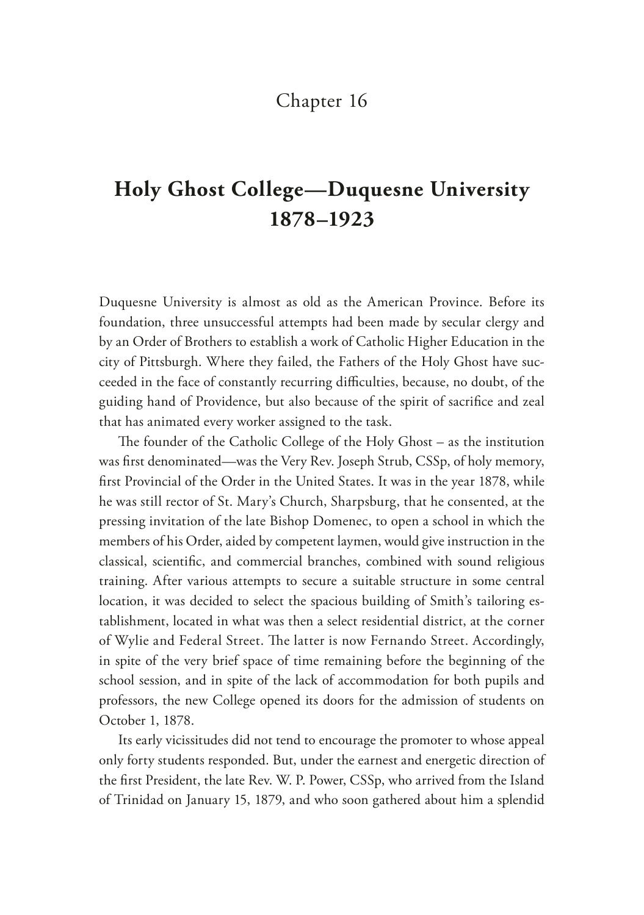### Chapter 16

# **Holy Ghost College—Duquesne University 1878–1923**

Duquesne University is almost as old as the American Province. Before its foundation, three unsuccessful attempts had been made by secular clergy and by an Order of Brothers to establish a work of Catholic Higher Education in the city of Pittsburgh. Where they failed, the Fathers of the Holy Ghost have succeeded in the face of constantly recurring difficulties, because, no doubt, of the guiding hand of Providence, but also because of the spirit of sacrifce and zeal that has animated every worker assigned to the task.

The founder of the Catholic College of the Holy Ghost  $-$  as the institution was frst denominated—was the Very Rev. Joseph Strub, CSSp, of holy memory, frst Provincial of the Order in the United States. It was in the year 1878, while he was still rector of St. Mary's Church, Sharpsburg, that he consented, at the pressing invitation of the late Bishop Domenec, to open a school in which the members of his Order, aided by competent laymen, would give instruction in the classical, scientifc, and commercial branches, combined with sound religious training. After various attempts to secure a suitable structure in some central location, it was decided to select the spacious building of Smith's tailoring establishment, located in what was then a select residential district, at the corner of Wylie and Federal Street. The latter is now Fernando Street. Accordingly, in spite of the very brief space of time remaining before the beginning of the school session, and in spite of the lack of accommodation for both pupils and professors, the new College opened its doors for the admission of students on October 1, 1878.

Its early vicissitudes did not tend to encourage the promoter to whose appeal only forty students responded. But, under the earnest and energetic direction of the frst President, the late Rev. W. P. Power, CSSp, who arrived from the Island of Trinidad on January 15, 1879, and who soon gathered about him a splendid